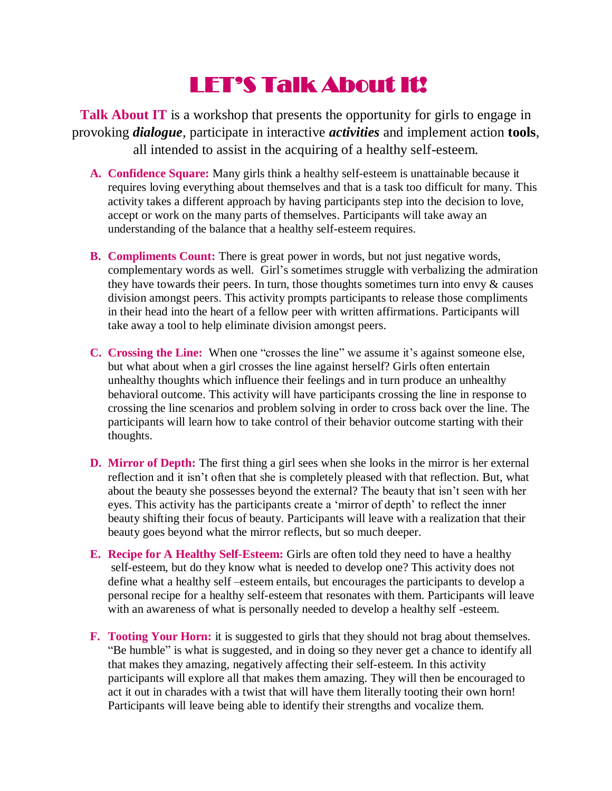## LET'S Talk About It!

**Talk About IT** is a workshop that presents the opportunity for girls to engage in provoking *dialogue*, participate in interactive *activities* and implement action **tools**, all intended to assist in the acquiring of a healthy self-esteem.

- **A. Confidence Square:** Many girls think a healthy self-esteem is unattainable because it requires loving everything about themselves and that is a task too difficult for many. This activity takes a different approach by having participants step into the decision to love, accept or work on the many parts of themselves. Participants will take away an understanding of the balance that a healthy self-esteem requires.
- **B. Compliments Count:** There is great power in words, but not just negative words, complementary words as well. Girl's sometimes struggle with verbalizing the admiration they have towards their peers. In turn, those thoughts sometimes turn into envy  $\&$  causes division amongst peers. This activity prompts participants to release those compliments in their head into the heart of a fellow peer with written affirmations. Participants will take away a tool to help eliminate division amongst peers.
- **C. Crossing the Line:** When one "crosses the line" we assume it's against someone else, but what about when a girl crosses the line against herself? Girls often entertain unhealthy thoughts which influence their feelings and in turn produce an unhealthy behavioral outcome. This activity will have participants crossing the line in response to crossing the line scenarios and problem solving in order to cross back over the line. The participants will learn how to take control of their behavior outcome starting with their thoughts.
- **D. Mirror of Depth:** The first thing a girl sees when she looks in the mirror is her external reflection and it isn't often that she is completely pleased with that reflection. But, what about the beauty she possesses beyond the external? The beauty that isn't seen with her eyes. This activity has the participants create a 'mirror of depth' to reflect the inner beauty shifting their focus of beauty. Participants will leave with a realization that their beauty goes beyond what the mirror reflects, but so much deeper.
- **E. Recipe for A Healthy Self-Esteem:** Girls are often told they need to have a healthy self-esteem, but do they know what is needed to develop one? This activity does not define what a healthy self –esteem entails, but encourages the participants to develop a personal recipe for a healthy self-esteem that resonates with them. Participants will leave with an awareness of what is personally needed to develop a healthy self -esteem.
- **F. Tooting Your Horn:** it is suggested to girls that they should not brag about themselves. "Be humble" is what is suggested, and in doing so they never get a chance to identify all that makes they amazing, negatively affecting their self-esteem. In this activity participants will explore all that makes them amazing. They will then be encouraged to act it out in charades with a twist that will have them literally tooting their own horn! Participants will leave being able to identify their strengths and vocalize them.